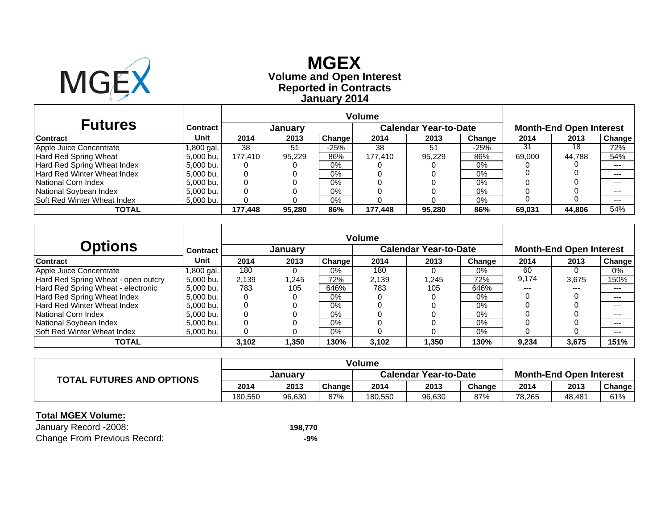

# **Reported in Contracts Volume and Open Interest MGEX January 2014**

| <b>Futures</b>                     | Contract   |         | January |        |         | <b>Calendar Year-to-Date</b> |        |        | <b>Month-End Open Interest</b> |        |
|------------------------------------|------------|---------|---------|--------|---------|------------------------------|--------|--------|--------------------------------|--------|
| <b>Contract</b>                    | Unit       | 2014    | 2013    | Change | 2014    | 2013                         | Change | 2014   | 2013                           | Change |
| Apple Juice Concentrate            | 1,800 gal. | 38      | 51      | $-25%$ | 38      | 51                           | $-25%$ | 31     | 18                             | 72%    |
| Hard Red Spring Wheat              | 5.000 bu.  | 177.410 | 95.229  | 86%    | 177.410 | 95.229                       | 86%    | 69.000 | 44.788                         | 54%    |
| Hard Red Spring Wheat Index        | 5,000 bu.  |         |         | $0\%$  |         |                              | $0\%$  |        |                                | $--$   |
| Hard Red Winter Wheat Index        | 5,000 bu.  |         |         | 0%     |         |                              | 0%     |        |                                | ---    |
| National Corn Index                | 5.000 bu.  |         |         | $0\%$  |         |                              | 0%     |        |                                | $---$  |
| National Soybean Index             | 5,000 bu.  |         |         | 0%     |         |                              | 0%     |        |                                | $---$  |
| <b>Soft Red Winter Wheat Index</b> | 5,000 bu.  |         |         | $0\%$  |         |                              | 0%     |        |                                | $---$  |
| <b>TOTAL</b>                       |            | 177.448 | 95.280  | 86%    | 177.448 | 95.280                       | 86%    | 69.031 | 44.806                         | 54%    |

|                                     |            |       |         |        | <b>Volume</b> |                              |        |       |                                |        |
|-------------------------------------|------------|-------|---------|--------|---------------|------------------------------|--------|-------|--------------------------------|--------|
| <b>Options</b>                      | Contract   |       | January |        |               | <b>Calendar Year-to-Date</b> |        |       | <b>Month-End Open Interest</b> |        |
| <b>Contract</b>                     | Unit       | 2014  | 2013    | Change | 2014          | 2013                         | Change | 2014  | 2013                           | Change |
| Apple Juice Concentrate             | l,800 gal. | 180   | 0       | $0\%$  | 180           |                              | $0\%$  | 60    |                                | 0%     |
| Hard Red Spring Wheat - open outcry | 5,000 bu.  | 2,139 | .245    | 72%    | 2.139         | 1.245                        | 72%    | 9.174 | 3,675                          | 150%   |
| Hard Red Spring Wheat - electronic  | 5.000 bu.  | 783   | 105     | 646%   | 783           | 105                          | 646%   | $---$ | $---$                          | ---    |
| Hard Red Spring Wheat Index         | 5,000 bu.  | 0     |         | $0\%$  |               |                              | $0\%$  |       |                                | $--$   |
| Hard Red Winter Wheat Index         | 5.000 bu.  | 0     |         | $0\%$  |               |                              | $0\%$  |       |                                | ---    |
| National Corn Index                 | 5.000 bu.  | 0     |         | $0\%$  |               |                              | 0%     |       |                                | ---    |
| National Soybean Index              | 5,000 bu.  |       |         | $0\%$  |               |                              | 0%     |       |                                | ---    |
| <b>Soft Red Winter Wheat Index</b>  | 5.000 bu.  | 0     |         | $0\%$  |               |                              | 0%     |       |                                | $--$   |
| <b>TOTAL</b>                        |            | 3,102 | 1,350   | 130%   | 3,102         | 1,350                        | 130%   | 9,234 | 3,675                          | 151%   |

| <b>TOTAL FUTURES AND OPTIONS</b> |                |        |        | <b>Volume</b>                |        |        |                                |        |        |
|----------------------------------|----------------|--------|--------|------------------------------|--------|--------|--------------------------------|--------|--------|
|                                  | <b>January</b> |        |        | <b>Calendar Year-to-Date</b> |        |        | <b>Month-End Open Interest</b> |        |        |
|                                  | 2014           | 2013   | Change | 2014                         | 2013   | Change | 2014                           | 2013   | Change |
|                                  | 180.550        | 96,630 | 87%    | 180,550                      | 96,630 | 87%    | 78,265                         | 48,481 | 61%    |

#### **Total MGEX Volume:**

January Record -2008: **198,770** Change From Previous Record: **-9%**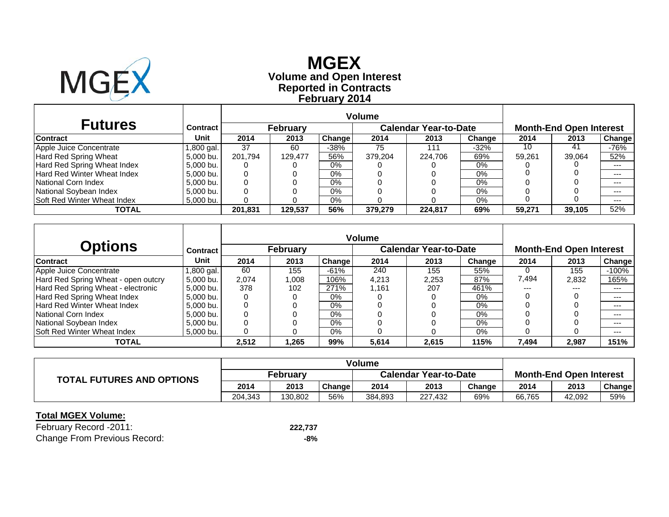

# **Reported in Contracts Volume and Open Interest MGEX February 2014**

| <b>Futures</b>                      | Contract   |         | <b>February</b> |        |         | Calendar Year-to-Date |        |        | <b>Month-End Open Interest</b> |        |
|-------------------------------------|------------|---------|-----------------|--------|---------|-----------------------|--------|--------|--------------------------------|--------|
| <b>Contract</b>                     | Unit       | 2014    | 2013            | Change | 2014    | 2013                  | Change | 2014   | 2013                           | Change |
| Apple Juice Concentrate             | 1,800 gal. | 37      | 60              | $-38%$ | 75      | 111                   | -32%   | 10     | 41                             | -76%   |
| Hard Red Spring Wheat               | 5,000 bu.  | 201.794 | 129.477         | 56%    | 379,204 | 224.706               | 69%    | 59,261 | 39,064                         | 52%    |
| Hard Red Spring Wheat Index         | 5,000 bu.  |         |                 | $0\%$  |         |                       | $0\%$  |        |                                | ---    |
| Hard Red Winter Wheat Index         | 5.000 bu.  |         |                 | $0\%$  |         |                       | 0%     |        |                                | ---    |
| National Corn Index                 | 5,000 bu.  |         |                 | $0\%$  |         |                       | $0\%$  |        |                                | $---$  |
| National Soybean Index              | 5.000 bu.  |         |                 | 0%     |         |                       | $0\%$  |        |                                | $---$  |
| <b>ISoft Red Winter Wheat Index</b> | 5,000 bu.  |         |                 | $0\%$  |         |                       | 0%     |        |                                | $---$  |
| <b>TOTAL</b>                        |            | 201.831 | 129.537         | 56%    | 379,279 | 224.817               | 69%    | 59,271 | 39.105                         | 52%    |

|                                     |                 |       |                 |               | <b>Volume</b> |                              |        |       |                                |         |
|-------------------------------------|-----------------|-------|-----------------|---------------|---------------|------------------------------|--------|-------|--------------------------------|---------|
| Options                             | <b>Contract</b> |       | <b>February</b> |               |               | <b>Calendar Year-to-Date</b> |        |       | <b>Month-End Open Interest</b> |         |
| <b>Contract</b>                     | Unit            | 2014  | 2013            | <b>Change</b> | 2014          | 2013                         | Change | 2014  | 2013                           | Change  |
| Apple Juice Concentrate             | ,800 gal.       | 60    | 155             | $-61%$        | 240           | 155                          | 55%    |       | 155                            | $-100%$ |
| Hard Red Spring Wheat - open outcry | 5,000 bu.       | 2,074 | 800,1           | 106%          | 4,213         | 2,253                        | 87%    | 7,494 | 2,832                          | 165%    |
| Hard Red Spring Wheat - electronic  | 5.000 bu.       | 378   | 102             | 271%          | 1.161         | 207                          | 461%   | $---$ | $---$                          | ---     |
| Hard Red Spring Wheat Index         | 5.000 bu.       | 0     | 0               | $0\%$         |               |                              | 0%     |       |                                | $---$   |
| <b>Hard Red Winter Wheat Index</b>  | 5.000 bu.       | 0     |                 | $0\%$         |               |                              | $0\%$  |       |                                | $---$   |
| National Corn Index                 | 5.000 bu.       | 0     |                 | $0\%$         |               |                              | $0\%$  |       |                                | ---     |
| National Soybean Index              | 5.000 bu.       | 0     |                 | $0\%$         |               |                              | $0\%$  |       |                                | ---     |
| <b>Soft Red Winter Wheat Index</b>  | 5,000 bu.       | 0     |                 | $0\%$         |               |                              | 0%     |       |                                | $---$   |
| <b>TOTAL</b>                        |                 | 2,512 | 1,265           | 99%           | 5,614         | 2,615                        | 115%   | 7,494 | 2,987                          | 151%    |

| <b>TOTAL FUTURES AND OPTIONS</b> |          |         |        |                              |         |        |                                |        |               |  |
|----------------------------------|----------|---------|--------|------------------------------|---------|--------|--------------------------------|--------|---------------|--|
|                                  | February |         |        | <b>Calendar Year-to-Date</b> |         |        | <b>Month-End Open Interest</b> |        |               |  |
|                                  | 2014     | 2013    | Change | 2014                         | 2013    | Change | 2014                           | 2013   | <b>Change</b> |  |
|                                  | 204.343  | 130.802 | 56%    | 384,893                      | 227,432 | 69%    | 66,765                         | 42.092 | 59%           |  |

#### **Total MGEX Volume:**

February Record -2011: **222,737** Change From Previous Record: **-8%**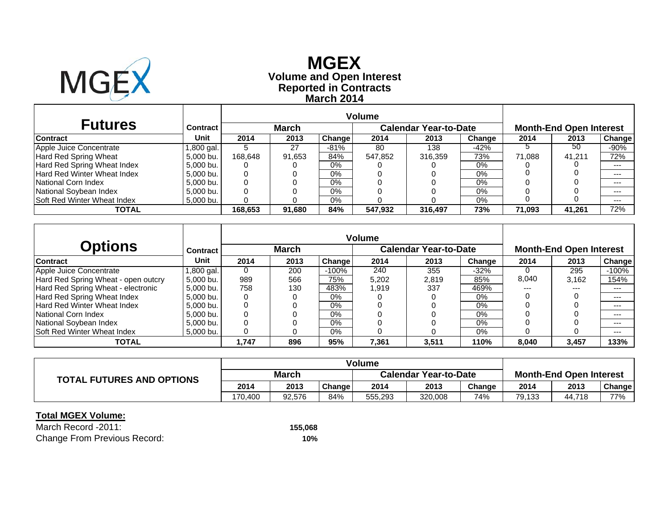

# **Reported in Contracts Volume and Open Interest MGEX March 2014**

| <b>Futures</b>                      | Contract   |         | <b>March</b> |        |         | Calendar Year-to-Date |        |        | <b>Month-End Open Interest</b> |        |
|-------------------------------------|------------|---------|--------------|--------|---------|-----------------------|--------|--------|--------------------------------|--------|
| <b>Contract</b>                     | Unit       | 2014    | 2013         | Change | 2014    | 2013                  | Change | 2014   | 2013                           | Change |
| Apple Juice Concentrate             | 1,800 gal. |         | 27           | $-81%$ | 80      | 138                   | -42%   |        | 50                             | -90%   |
| Hard Red Spring Wheat               | 5,000 bu.  | 168.648 | 91,653       | 84%    | 547,852 | 316,359               | 73%    | 71.088 | 41.211                         | 72%    |
| Hard Red Spring Wheat Index         | 5,000 bu.  |         |              | $0\%$  |         |                       | $0\%$  |        |                                | ---    |
| Hard Red Winter Wheat Index         | 5.000 bu.  |         |              | $0\%$  |         |                       | 0%     |        |                                | ---    |
| National Corn Index                 | 5,000 bu.  |         |              | $0\%$  |         |                       | $0\%$  |        |                                | $---$  |
| National Soybean Index              | 5.000 bu.  |         |              | 0%     |         |                       | $0\%$  |        |                                | $---$  |
| <b>ISoft Red Winter Wheat Index</b> | 5,000 bu.  |         |              | $0\%$  |         |                       | 0%     |        |                                | $---$  |
| <b>TOTAL</b>                        |            | 168.653 | 91.680       | 84%    | 547,932 | 316,497               | 73%    | 71.093 | 41.261                         | 72%    |

|                                     |           |       |              |         | <b>Volume</b> |                              |        |       |                                |         |
|-------------------------------------|-----------|-------|--------------|---------|---------------|------------------------------|--------|-------|--------------------------------|---------|
| <b>Options</b>                      | Contract  |       | <b>March</b> |         |               | <b>Calendar Year-to-Date</b> |        |       | <b>Month-End Open Interest</b> |         |
| Contract                            | Unit      | 2014  | 2013         | Change  | 2014          | 2013                         | Change | 2014  | 2013                           | Change  |
| Apple Juice Concentrate             | ,800 gal. | 0     | 200          | $-100%$ | 240           | 355                          | $-32%$ |       | 295                            | $-100%$ |
| Hard Red Spring Wheat - open outcry | 5,000 bu. | 989   | 566          | 75%     | 5,202         | 2,819                        | 85%    | 8,040 | 3.162                          | 154%    |
| Hard Red Spring Wheat - electronic  | 5,000 bu. | 758   | 130          | 483%    | 1.919         | 337                          | 469%   | ---   | ---                            | $--$    |
| Hard Red Spring Wheat Index         | 5.000 bu. | 0     | 0            | 0%      |               |                              | $0\%$  |       |                                | $- - -$ |
| <b>Hard Red Winter Wheat Index</b>  | 5.000 bu. | 0     |              | 0%      |               |                              | $0\%$  |       |                                | $---$   |
| National Corn Index                 | 5.000 bu. | 0     |              | 0%      |               |                              | $0\%$  |       |                                | $- - -$ |
| National Soybean Index              | 5.000 bu. | ი     |              | 0%      |               |                              | $0\%$  |       |                                | $---$   |
| <b>Soft Red Winter Wheat Index</b>  | 5,000 bu. | 0     |              | $0\%$   |               |                              | $0\%$  |       |                                | $---$   |
| TOTAL                               |           | 1,747 | 896          | 95%     | 7,361         | 3,511                        | 110%   | 8,040 | 3,457                          | 133%    |

| <b>TOTAL FUTURES AND OPTIONS</b> |              |        |        | <b>Volume</b>                |         |        |                                |        |        |  |
|----------------------------------|--------------|--------|--------|------------------------------|---------|--------|--------------------------------|--------|--------|--|
|                                  | <b>March</b> |        |        | <b>Calendar Year-to-Date</b> |         |        | <b>Month-End Open Interest</b> |        |        |  |
|                                  | 2014         | 2013   | Change | 2014                         | 2013    | Change | 2014                           | 2013   | Change |  |
|                                  | 170.400      | 92.576 | 84%    | 555,293                      | 320,008 | 74%    | 79,133                         | 44.718 | 77%    |  |

#### **Total MGEX Volume:**

March Record -2011: Change From Previous Record: **10%**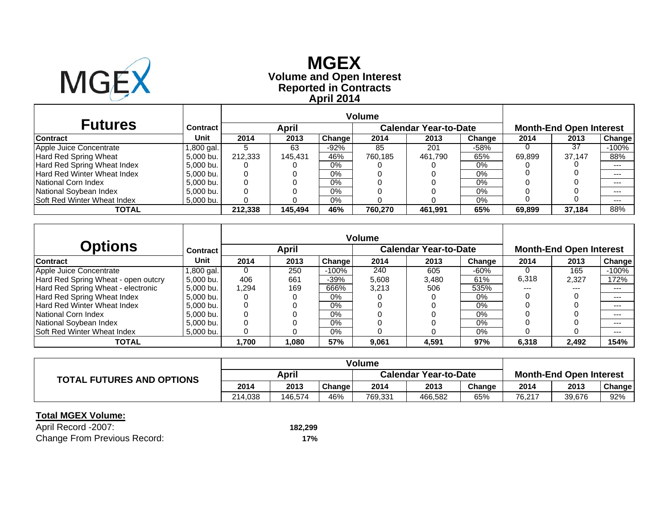

# **Reported in Contracts Volume and Open Interest MGEX April 2014**

| <b>Futures</b>                     | <b>Contract</b> |         | April   |        |         | <b>Calendar Year-to-Date</b> |        |        | <b>Month-End Open Interest</b> |        |
|------------------------------------|-----------------|---------|---------|--------|---------|------------------------------|--------|--------|--------------------------------|--------|
| <b>Contract</b>                    | Unit            | 2014    | 2013    | Change | 2014    | 2013                         | Change | 2014   | 2013                           | Change |
| Apple Juice Concentrate            | .800 gal.       |         | 63      | $-92%$ | 85      | 201                          | $-58%$ |        | 37                             | -100%  |
| Hard Red Spring Wheat              | 5,000 bu.       | 212.333 | 145.431 | 46%    | 760,185 | 461,790                      | 65%    | 69,899 | 37.147                         | 88%    |
| Hard Red Spring Wheat Index        | 5.000 bu.       |         |         | $0\%$  |         |                              | 0%     |        |                                | ---    |
| <b>Hard Red Winter Wheat Index</b> | 5.000 bu.       |         |         | 0%     |         |                              | 0%     |        |                                | ---    |
| National Corn Index                | 5.000 bu.       |         |         | $0\%$  |         |                              | $0\%$  |        |                                | $---$  |
| National Soybean Index             | 5.000 bu.       |         |         | 0%     |         |                              | $0\%$  |        |                                | $---$  |
| <b>Soft Red Winter Wheat Index</b> | 5,000 bu.       |         |         | $0\%$  |         |                              | 0%     |        |                                | $---$  |
| TOTAL                              |                 | 212.338 | 145.494 | 46%    | 760.270 | 461.991                      | 65%    | 69.899 | 37.184                         | 88%    |

|                                     |           |       |       |         | <b>Volume</b> |                              |        |       |                                |         |
|-------------------------------------|-----------|-------|-------|---------|---------------|------------------------------|--------|-------|--------------------------------|---------|
| <b>Options</b>                      | Contract  |       | April |         |               | <b>Calendar Year-to-Date</b> |        |       | <b>Month-End Open Interest</b> |         |
| Contract                            | Unit      | 2014  | 2013  | Change  | 2014          | 2013                         | Change | 2014  | 2013                           | Change  |
| Apple Juice Concentrate             | ,800 gal. | 0     | 250   | $-100%$ | 240           | 605                          | $-60%$ |       | 165                            | $-100%$ |
| Hard Red Spring Wheat - open outcry | 5,000 bu. | 406   | 661   | -39%    | 5,608         | 3,480                        | 61%    | 6,318 | 2.327                          | 172%    |
| Hard Red Spring Wheat - electronic  | 5,000 bu. | 1,294 | 169   | 666%    | 3.213         | 506                          | 535%   | ---   | ---                            | ---     |
| Hard Red Spring Wheat Index         | 5.000 bu. | 0     | 0     | 0%      |               |                              | $0\%$  |       |                                | $- - -$ |
| <b>Hard Red Winter Wheat Index</b>  | 5.000 bu. | 0     |       | 0%      |               |                              | $0\%$  |       |                                | $---$   |
| National Corn Index                 | 5.000 bu. | 0     |       | 0%      |               |                              | $0\%$  |       |                                | $- - -$ |
| National Soybean Index              | 5.000 bu. |       |       | 0%      |               |                              | $0\%$  |       |                                | $---$   |
| <b>Soft Red Winter Wheat Index</b>  | 5,000 bu. | 0     |       | $0\%$   |               |                              | $0\%$  |       |                                | $---$   |
| TOTAL                               |           | 700.ا | 1,080 | 57%     | 9,061         | 4,591                        | 97%    | 6,318 | 2,492                          | 154%    |

| <b>TOTAL FUTURES AND OPTIONS</b> |         |         |        | <b>Volume</b>                |         |        |                                |        |               |
|----------------------------------|---------|---------|--------|------------------------------|---------|--------|--------------------------------|--------|---------------|
|                                  | April   |         |        | <b>Calendar Year-to-Date</b> |         |        | <b>Month-End Open Interest</b> |        |               |
|                                  | 2014    | 2013    | Change | 2014                         | 2013    | Change | 2014                           | 2013   | <b>Change</b> |
|                                  | 214.038 | 146.574 | 46%    | 769,331                      | 466,582 | 65%    | 76.217                         | 39,676 | 92%           |

#### **Total MGEX Volume:**

April Record -2007: **182,299** Change From Previous Record: **17%**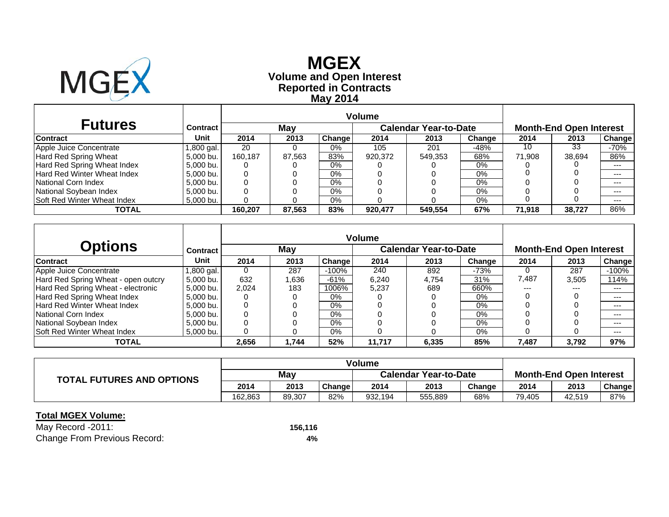

# **Reported in Contracts Volume and Open Interest MGEX May 2014**

| <b>Futures</b>                     | Contract   |         | May    |        |         | <b>Calendar Year-to-Date</b> |        | <b>Month-End Open Interest</b> |        |        |  |
|------------------------------------|------------|---------|--------|--------|---------|------------------------------|--------|--------------------------------|--------|--------|--|
| <b>Contract</b>                    | Unit       | 2014    | 2013   | Change | 2014    | 2013                         | Change | 2014                           | 2013   | Change |  |
| Apple Juice Concentrate            | 1,800 gal. | 20      |        | $0\%$  | 105     | 201                          | $-48%$ | 10                             | 33     | -70%   |  |
| Hard Red Spring Wheat              | 5.000 bu.  | 160.187 | 87.563 | 83%    | 920.372 | 549.353                      | 68%    | 71.908                         | 38.694 | 86%    |  |
| Hard Red Spring Wheat Index        | 5,000 bu.  |         |        | 0%     |         |                              | 0%     |                                |        | $---$  |  |
| <b>Hard Red Winter Wheat Index</b> | 5,000 bu.  |         |        | 0%     |         |                              | 0%     |                                |        | ---    |  |
| National Corn Index                | 5.000 bu.  |         |        | 0%     |         |                              | 0%     |                                |        | $--$   |  |
| National Soybean Index             | 5.000 bu.  |         |        | $0\%$  |         |                              | 0%     |                                |        | $---$  |  |
| <b>Soft Red Winter Wheat Index</b> | 5,000 bu.  |         |        | 0%     |         |                              | 0%     |                                |        | $---$  |  |
| TOTAL                              |            | 160.207 | 87.563 | 83%    | 920.477 | 549.554                      | 67%    | 71.918                         | 38,727 | 86%    |  |

|                                     |                 |       |       |               | <b>Volume</b> |                              |        |       |                                |         |
|-------------------------------------|-----------------|-------|-------|---------------|---------------|------------------------------|--------|-------|--------------------------------|---------|
| Options                             | <b>Contract</b> |       | May   |               |               | <b>Calendar Year-to-Date</b> |        |       | <b>Month-End Open Interest</b> |         |
| <b>Contract</b>                     | Unit            | 2014  | 2013  | <b>Change</b> | 2014          | 2013                         | Change | 2014  | 2013                           | Change  |
| Apple Juice Concentrate             | ,800 gal.       | O     | 287   | $-100%$       | 240           | 892                          | $-73%$ |       | 287                            | $-100%$ |
| Hard Red Spring Wheat - open outcry | 5.000 bu.       | 632   | 1,636 | $-61%$        | 6.240         | 4.754                        | 31%    | 7,487 | 3.505                          | 114%    |
| Hard Red Spring Wheat - electronic  | 5,000 bu.       | 2.024 | 183   | $1006\%$      | 5.237         | 689                          | 660%   | $---$ | ---                            | $---$   |
| Hard Red Spring Wheat Index         | 5.000 bu.       | 0     |       | $0\%$         |               |                              | 0%     |       |                                | $- - -$ |
| <b>Hard Red Winter Wheat Index</b>  | 5.000 bu.       | 0     |       | $0\%$         |               |                              | $0\%$  |       |                                | ---     |
| National Corn Index                 | 5.000 bu.       | 0     |       | 0%            |               |                              | $0\%$  |       |                                | ---     |
| National Soybean Index              | 5.000 bu.       | 0     |       | $0\%$         |               |                              | $0\%$  |       |                                | $---$   |
| <b>Soft Red Winter Wheat Index</b>  | 5,000 bu.       | 0     |       | 0%            |               |                              | 0%     |       |                                | $- - -$ |
| <b>TOTAL</b>                        |                 | 2,656 | 1.744 | 52%           | 11,717        | 6,335                        | 85%    | 7,487 | 3,792                          | 97%     |

| <b>TOTAL FUTURES AND OPTIONS</b> |         |        |        | <b>Volume</b> |                              |                                |        |        |               |
|----------------------------------|---------|--------|--------|---------------|------------------------------|--------------------------------|--------|--------|---------------|
|                                  | May     |        |        |               | <b>Calendar Year-to-Date</b> | <b>Month-End Open Interest</b> |        |        |               |
|                                  | 2014    | 2013   | Change | 2014          | 2013                         | Change                         | 2014   | 2013   | <b>Change</b> |
|                                  | 162.863 | 89.307 | 82%    | 932,194       | 555,889                      | 68%                            | 79,405 | 42.519 | 87%           |

#### **Total MGEX Volume:**

May Record -2011: **156,116** Change From Previous Record: **4%**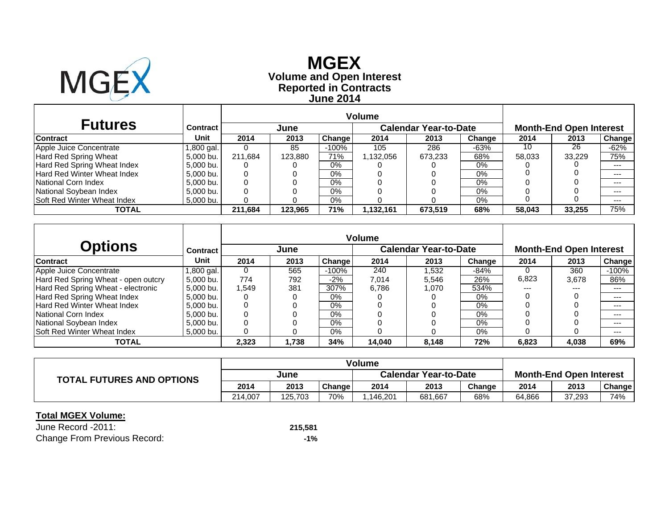

# **Reported in Contracts Volume and Open Interest MGEXJune 2014**

| <b>Futures</b>                     | Contract   |         | June    |         |           | <b>Calendar Year-to-Date</b> |        | <b>Month-End Open Interest</b> |        |        |  |
|------------------------------------|------------|---------|---------|---------|-----------|------------------------------|--------|--------------------------------|--------|--------|--|
| <b>Contract</b>                    | Unit       | 2014    | 2013    | Change  | 2014      | 2013                         | Change | 2014                           | 2013   | Change |  |
| Apple Juice Concentrate            | l,800 gal. |         | 85      | $-100%$ | 105       | 286                          | $-63%$ | 10                             | 26     | $-62%$ |  |
| Hard Red Spring Wheat              | 5,000 bu.  | 211.684 | 123,880 | 71%     | 1,132,056 | 673,233                      | 68%    | 58,033                         | 33.229 | 75%    |  |
| Hard Red Spring Wheat Index        | 5.000 bu.  |         |         | $0\%$   |           |                              | 0%     |                                |        | ---    |  |
| Hard Red Winter Wheat Index        | 5.000 bu.  |         |         | $0\%$   |           |                              | 0%     |                                |        | ---    |  |
| National Corn Index                | 5.000 bu.  |         |         | 0%      |           |                              | $0\%$  |                                |        | $---$  |  |
| National Soybean Index             | 5.000 bu.  |         |         | $0\%$   |           |                              | 0%     |                                |        | $---$  |  |
| <b>Soft Red Winter Wheat Index</b> | 5,000 bu.  |         |         | $0\%$   |           |                              | 0%     |                                |        | $---$  |  |
| TOTAL                              |            | 211.684 | 123.965 | 71%     | 1.132.161 | 673.519                      | 68%    | 58.043                         | 33.255 | 75%    |  |

|                                     |                 | <b>Volume</b> |       |         |        |                              |        |                                |       |               |  |
|-------------------------------------|-----------------|---------------|-------|---------|--------|------------------------------|--------|--------------------------------|-------|---------------|--|
| Options                             | <b>Contract</b> |               | June  |         |        | <b>Calendar Year-to-Date</b> |        | <b>Month-End Open Interest</b> |       |               |  |
| <b>Contract</b>                     | <b>Unit</b>     | 2014          | 2013  | Change  | 2014   | 2013                         | Change | 2014                           | 2013  | <b>Change</b> |  |
| Apple Juice Concentrate             | l,800 gal.      | 0             | 565   | $-100%$ | 240    | .532                         | $-84%$ |                                | 360   | $-100%$       |  |
| Hard Red Spring Wheat - open outcry | 5.000 bu.       | 774           | 792   | $-2%$   | 7.014  | 5.546                        | 26%    | 6,823                          | 3.678 | 86%           |  |
| Hard Red Spring Wheat - electronic  | 5.000 bu.       | .549          | 381   | 307%    | 6.786  | 1.070                        | 534%   | $---$                          | $---$ | $---$         |  |
| Hard Red Spring Wheat Index         | 5.000 bu.       | O             |       | $0\%$   |        |                              | 0%     |                                |       | ---           |  |
| <b>Hard Red Winter Wheat Index</b>  | 5.000 bu.       | 0             |       | $0\%$   |        |                              | 0%     |                                |       | ---           |  |
| National Corn Index                 | 5.000 bu.       | 0             |       | $0\%$   |        |                              | $0\%$  |                                |       | ---           |  |
| National Soybean Index              | 5.000 bu.       |               |       | $0\%$   |        |                              | $0\%$  |                                |       | $---$         |  |
| <b>Soft Red Winter Wheat Index</b>  | 5.000 bu.       | 0             |       | 0%      |        |                              | 0%     |                                |       | $---$         |  |
| TOTAL                               |                 | 2,323         | 1,738 | 34%     | 14.040 | 8,148                        | 72%    | 6,823                          | 4,038 | 69%           |  |

| <b>TOTAL FUTURES AND OPTIONS</b> |         |         |        | <b>Volume</b>                |         |        |                                |        |        |
|----------------------------------|---------|---------|--------|------------------------------|---------|--------|--------------------------------|--------|--------|
|                                  | June    |         |        | <b>Calendar Year-to-Date</b> |         |        | <b>Month-End Open Interest</b> |        |        |
|                                  | 2014    | 2013    | Change | 2014                         | 2013    | Change | 2014                           | 2013   | Change |
|                                  | 214.007 | 125.703 | 70%    | .146.201                     | 681,667 | 68%    | 64,866                         | 37,293 | 74%    |

#### **Total MGEX Volume:**

June Record -2011: Change From Previous Record: **-1%**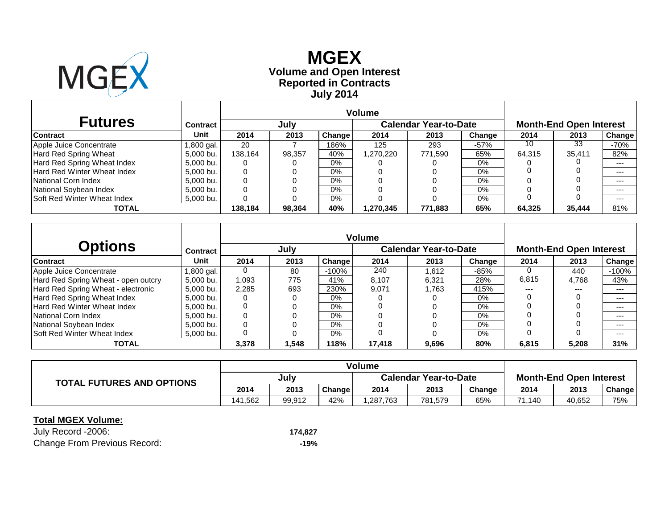

**Reported in Contracts Volume and Open Interest MGEX July 2014**

| <b>Futures</b>                     | Contract   |         | July   |               |           | <b>Calendar Year-to-Date</b> |        | <b>Month-End Open Interest</b> |        |               |  |
|------------------------------------|------------|---------|--------|---------------|-----------|------------------------------|--------|--------------------------------|--------|---------------|--|
| <b>Contract</b>                    | Unit       | 2014    | 2013   | <b>Change</b> | 2014      | 2013                         | Change | 2014                           | 2013   | <b>Change</b> |  |
| Apple Juice Concentrate            | l,800 gal. | 20      |        | 186%          | 125       | 293                          | $-57%$ | 10                             | 33     | $-70%$        |  |
| Hard Red Spring Wheat              | 5.000 bu.  | 138.164 | 98,357 | 40%           | .270,220  | 771,590                      | 65%    | 64,315                         | 35,411 | 82%           |  |
| Hard Red Spring Wheat Index        | 5,000 bu.  |         |        | $0\%$         |           |                              | 0%     |                                |        | $--$          |  |
| <b>Hard Red Winter Wheat Index</b> | 5,000 bu.  |         |        | $0\%$         |           |                              | 0%     |                                |        | $- - -$       |  |
| National Corn Index                | 5,000 bu.  |         |        | $0\%$         |           |                              | 0%     |                                |        | $- - -$       |  |
| National Soybean Index             | 5.000 bu.  |         |        | $0\%$         |           |                              | 0%     |                                |        | $- - -$       |  |
| <b>Soft Red Winter Wheat Index</b> | 5,000 bu.  |         |        | $0\%$         |           |                              | 0%     |                                |        | $- - -$       |  |
| <b>TOTAL</b>                       |            | 138.184 | 98.364 | 40%           | 1,270,345 | 771.883                      | 65%    | 64.325                         | 35,444 | 81%           |  |

| <b>Options</b>                      | Contract  |       | July  |         | <b>Volume</b> | <b>Calendar Year-to-Date</b> |        |       | <b>Month-End Open Interest</b> |               |
|-------------------------------------|-----------|-------|-------|---------|---------------|------------------------------|--------|-------|--------------------------------|---------------|
| <b>Contract</b>                     | Unit      | 2014  | 2013  | Change  | 2014          | 2013                         | Change | 2014  | 2013                           | <b>Change</b> |
| Apple Juice Concentrate             | .800 gal. | 0     | 80    | $-100%$ | 240           | 1.612                        | $-85%$ |       | 440                            | $-100%$       |
| Hard Red Spring Wheat - open outcry | 5,000 bu. | 1,093 | 775   | 41%     | 8,107         | 6,321                        | 28%    | 6,815 | 4,768                          | 43%           |
| Hard Red Spring Wheat - electronic  | 5,000 bu. | 2,285 | 693   | 230%    | 9.071         | 1.763                        | 415%   | ---   | $---$                          | ---           |
| Hard Red Spring Wheat Index         | 5.000 bu. | 0     | 0     | 0%      |               |                              | 0%     |       |                                | $---$         |
| Hard Red Winter Wheat Index         | 5,000 bu. | 0     |       | 0%      |               |                              | $0\%$  |       |                                | $--$          |
| National Corn Index                 | 5.000 bu. | 0     | 0     | $0\%$   |               |                              | 0%     |       |                                | $--$          |
| National Soybean Index              | 5.000 bu. | 0     |       | 0%      |               |                              | 0%     |       |                                | $- - -$       |
| Soft Red Winter Wheat Index         | 5,000 bu. | 0     |       | $0\%$   |               |                              | $0\%$  |       | 0                              | $--$          |
| <b>TOTAL</b>                        |           | 3,378 | 1,548 | 118%    | 17,418        | 9,696                        | 80%    | 6,815 | 5,208                          | 31%           |

| <b>TOTAL FUTURES AND OPTIONS</b> |         |        |        |           |                              |        |                                |        |        |  |
|----------------------------------|---------|--------|--------|-----------|------------------------------|--------|--------------------------------|--------|--------|--|
|                                  | July    |        |        |           | <b>Calendar Year-to-Date</b> |        | <b>Month-End Open Interest</b> |        |        |  |
|                                  | 2014    | 2013   | Change | 2014      | 2013                         | Change | 2014                           | 2013   | Change |  |
|                                  | 141.562 | 99.912 | 42%    | 1,287,763 | 781,579                      | 65%    | 71,140                         | 40,652 | 75%    |  |

## **Total MGEX Volume:**

July Record -2006: **174,827** Change From Previous Record: **-19%**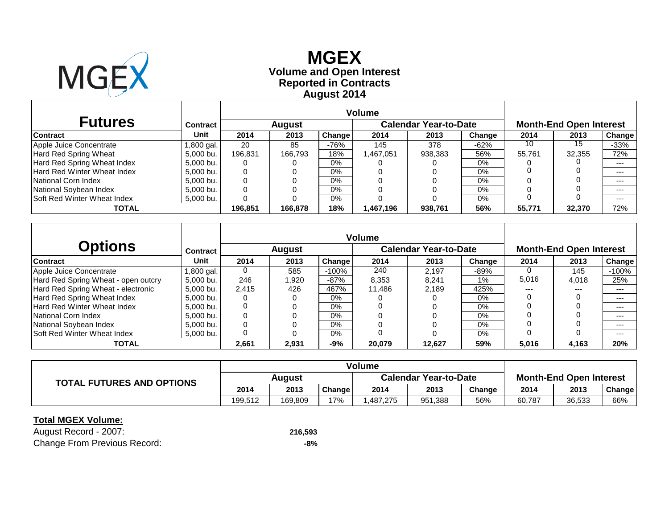

 $\mathbf{r}$ 

**Reported in Contracts Volume and Open Interest MGEX August 2014**

| <b>Futures</b>                     | <b>Contract</b> |         | <b>August</b> |        | Calendar Year-to-Date |         |        | <b>Month-End Open Interest</b> |        |         |  |
|------------------------------------|-----------------|---------|---------------|--------|-----------------------|---------|--------|--------------------------------|--------|---------|--|
| <b>Contract</b>                    | Unit            | 2014    | 2013          | Change | 2014                  | 2013    | Change | 2014                           | 2013   | Change  |  |
| Apple Juice Concentrate            | l,800 gal.      | 20      | 85            | -76%   | 145                   | 378     | $-62%$ | 10                             | 15     | $-33%$  |  |
| Hard Red Spring Wheat              | 5,000 bu.       | 196.831 | 166.793       | 18%    | .467,051              | 938,383 | 56%    | 55.761                         | 32.355 | 72%     |  |
| Hard Red Spring Wheat Index        | 5,000 bu.       |         |               | 0%     |                       |         | $0\%$  |                                |        | $---$   |  |
| Hard Red Winter Wheat Index        | 5,000 bu.       |         |               | 0%     |                       |         | $0\%$  |                                |        | $- - -$ |  |
| National Corn Index                | 5,000 bu.       |         |               | 0%     |                       |         | 0%     |                                |        | $- - -$ |  |
| National Soybean Index             | 5,000 bu.       |         |               | 0%     |                       |         | 0%     |                                |        | $- - -$ |  |
| <b>Soft Red Winter Wheat Index</b> | 5,000 bu.       |         |               | 0%     |                       |         | $0\%$  |                                |        |         |  |
| <b>TOTAL</b>                       |                 | 196.851 | 166,878       | 18%    | .467,196              | 938,761 | 56%    | 55.771                         | 32,370 | 72%     |  |

|                                     |                 |          |        | <b>Volume</b> |        |                              |        |       |                                |               |
|-------------------------------------|-----------------|----------|--------|---------------|--------|------------------------------|--------|-------|--------------------------------|---------------|
| <b>Options</b>                      | <b>Contract</b> |          | August |               |        | <b>Calendar Year-to-Date</b> |        |       | <b>Month-End Open Interest</b> |               |
| <b>Contract</b>                     | Unit            | 2014     | 2013   | Change        | 2014   | 2013                         | Change | 2014  | 2013                           | <b>Change</b> |
| Apple Juice Concentrate             | .800 gal.       | $\Omega$ | 585    | $-100%$       | 240    | 2.197                        | $-89%$ |       | 145                            | $-100%$       |
| Hard Red Spring Wheat - open outcry | 5,000 bu.       | 246      | 1,920  | $-87%$        | 8,353  | 8,241                        | $1\%$  | 5,016 | 4,018                          | 25%           |
| Hard Red Spring Wheat - electronic  | 5,000 bu.       | 2,415    | 426    | 467%          | 11.486 | 2.189                        | 425%   | ---   | $---$                          | $---$         |
| Hard Red Spring Wheat Index         | 5.000 bu.       | 0        | 0      | 0%            |        |                              | 0%     |       |                                | ---           |
| <b>Hard Red Winter Wheat Index</b>  | 5,000 bu.       | 0        |        | 0%            |        |                              | 0%     |       |                                | $---$         |
| National Corn Index                 | 5.000 bu.       | 0        |        | 0%            |        |                              | $0\%$  |       |                                | $- - -$       |
| National Soybean Index              | 5.000 bu.       | 0        |        | $0\%$         |        |                              | $0\%$  |       |                                | $--$          |
| Soft Red Winter Wheat Index         | 5,000 bu.       | 0        |        | $0\%$         |        |                              | $0\%$  |       | 0                              | $---$         |
| <b>TOTAL</b>                        |                 | 2.661    | 2,931  | $-9%$         | 20.079 | 12.627                       | 59%    | 5,016 | 4.163                          | 20%           |

| <b>TOTAL FUTURES AND OPTIONS</b> |         |         |        |          |                              |        |                                |        |        |  |
|----------------------------------|---------|---------|--------|----------|------------------------------|--------|--------------------------------|--------|--------|--|
|                                  | Auaust  |         |        |          | <b>Calendar Year-to-Date</b> |        | <b>Month-End Open Interest</b> |        |        |  |
|                                  | 2014    | 2013    | Change | 2014     | 2013                         | Change | 2014                           | 2013   | Change |  |
|                                  | 199.512 | 169.809 | 17%    | .487.275 | 951,388                      | 56%    | 60.787                         | 36,533 | 66%    |  |

## **Total MGEX Volume:**

| August Record - 2007:               | 216,593 |
|-------------------------------------|---------|
| <b>Change From Previous Record:</b> | -8%     |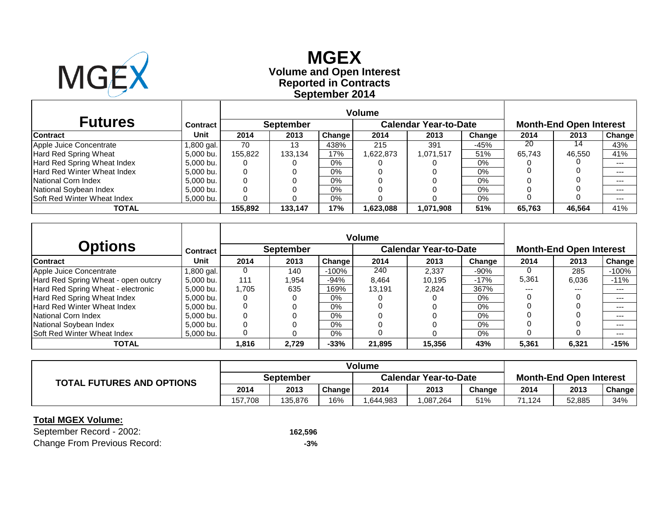

**Reported in Contracts Volume and Open Interest MGEX September 2014**

| <b>Futures</b>                     | <b>Contract</b> |         | <b>September</b> |        |          | Calendar Year-to-Date |        |        | <b>Month-End Open Interest</b> |         |
|------------------------------------|-----------------|---------|------------------|--------|----------|-----------------------|--------|--------|--------------------------------|---------|
| <b>Contract</b>                    | Unit            | 2014    | 2013             | Change | 2014     | 2013                  | Change | 2014   | 2013                           | Change  |
| Apple Juice Concentrate            | l.800 gal.      | 70      | 13               | 438%   | 215      | 391                   | $-45%$ | 20     | 14                             | 43%     |
| Hard Red Spring Wheat              | 5,000 bu.       | 155.822 | 133,134          | 17%    | .622,873 | 1,071,517             | 51%    | 65.743 | 46,550                         | 41%     |
| Hard Red Spring Wheat Index        | 5,000 bu.       |         |                  | 0%     |          |                       | $0\%$  |        |                                | $---$   |
| Hard Red Winter Wheat Index        | 5,000 bu.       |         |                  | 0%     |          |                       | $0\%$  |        |                                | $- - -$ |
| National Corn Index                | 5,000 bu.       |         |                  | 0%     |          |                       | 0%     |        |                                | $- - -$ |
| National Soybean Index             | 5,000 bu.       |         |                  | 0%     |          |                       | 0%     |        |                                | $- - -$ |
| <b>Soft Red Winter Wheat Index</b> | 5,000 bu.       |         |                  | 0%     |          |                       | $0\%$  |        |                                |         |
| <b>TOTAL</b>                       |                 | 155.892 | 133.147          | 17%    | .623,088 | 1,071,908             | 51%    | 65.763 | 46.564                         | 41%     |

|                                     |                 | <b>Volume</b> |                  |               |        |                              |        |       |                                |               |
|-------------------------------------|-----------------|---------------|------------------|---------------|--------|------------------------------|--------|-------|--------------------------------|---------------|
| <b>Options</b>                      | <b>Contract</b> |               | <b>September</b> |               |        | <b>Calendar Year-to-Date</b> |        |       | <b>Month-End Open Interest</b> |               |
| <b>Contract</b>                     | Unit            | 2014          | 2013             | <b>Change</b> | 2014   | 2013                         | Change | 2014  | 2013                           | <b>Change</b> |
| Apple Juice Concentrate             | .800 gal.       | 0             | 140              | $-100%$       | 240    | 2.337                        | $-90%$ |       | 285                            | $-100%$       |
| Hard Red Spring Wheat - open outcry | 5.000 bu.       | 111           | 1,954            | -94%          | 8,464  | 10,195                       | $-17%$ | 5,361 | 6,036                          | $-11%$        |
| Hard Red Spring Wheat - electronic  | 5,000 bu.       | 1,705         | 635              | 169%          | 13.191 | 2.824                        | 367%   | ---   | $---$                          | ---           |
| Hard Red Spring Wheat Index         | 5.000 bu.       | 0             | 0                | 0%            |        |                              | $0\%$  |       |                                | $---$         |
| <b>Hard Red Winter Wheat Index</b>  | 5,000 bu.       | 0             |                  | 0%            |        |                              | 0%     |       |                                | $--$          |
| National Corn Index                 | 5.000 bu.       | 0             | 0                | $0\%$         |        |                              | $0\%$  |       |                                | $---$         |
| National Soybean Index              | 5.000 bu.       | 0             |                  | 0%            |        |                              | 0%     |       |                                | $- - -$       |
| Soft Red Winter Wheat Index         | 5.000 bu.       | 0             |                  | 0%            |        |                              | $0\%$  |       | 0                              | $--$          |
| <b>TOTAL</b>                        |                 | 816. ا        | 2,729            | $-33%$        | 21,895 | 15,356                       | 43%    | 5,361 | 6,321                          | $-15%$        |

| <b>TOTAL FUTURES AND OPTIONS</b> |                  |         |        | <b>Volume</b> |                              |                                |            |        |        |
|----------------------------------|------------------|---------|--------|---------------|------------------------------|--------------------------------|------------|--------|--------|
|                                  | <b>September</b> |         |        |               | <b>Calendar Year-to-Date</b> | <b>Month-End Open Interest</b> |            |        |        |
|                                  | 2014             | 2013    | Change | 2014          | 2013                         | Change                         | 2014       | 2013   | Change |
|                                  | 157.708          | 135.876 | 16%    | .644.983      | ,087,264                     | 51%                            | .124<br>74 | 52.885 | 34%    |

## **Total MGEX Volume:**

September Record - 2002: **162,596** Change From Previous Record: **-3%**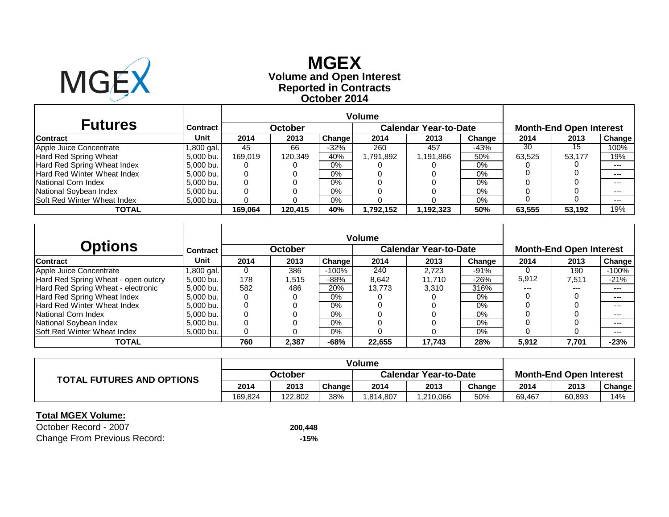

# **Reported in Contracts Volume and Open Interest MGEXOctober 2014**

| <b>Futures</b>                     | Contract   |         | October |               |          | <b>Calendar Year-to-Date</b> |        | <b>Month-End Open Interest</b> |        |         |  |
|------------------------------------|------------|---------|---------|---------------|----------|------------------------------|--------|--------------------------------|--------|---------|--|
| <b>Contract</b>                    | Unit       | 2014    | 2013    | <b>Change</b> | 2014     | 2013                         | Change | 2014                           | 2013   | Change  |  |
| Apple Juice Concentrate            | l,800 gal. | 45      | 66      | $-32%$        | 260      | 457                          | $-43%$ | 30                             | 15     | 100%    |  |
| Hard Red Spring Wheat              | 5.000 bu.  | 169.019 | 120.349 | 40%           | .791.892 | 1,191,866                    | 50%    | 63.525                         | 53.177 | 19%     |  |
| Hard Red Spring Wheat Index        | 5,000 bu.  |         |         | $0\%$         |          |                              | $0\%$  |                                |        | $--$    |  |
| Hard Red Winter Wheat Index        | 5,000 bu.  |         |         | $0\%$         |          |                              | 0%     |                                |        | $- - -$ |  |
| National Corn Index                | 5.000 bu.  |         |         | 0%            |          |                              | 0%     |                                |        | $---$   |  |
| National Soybean Index             | 5.000 bu.  |         |         | $0\%$         |          |                              | 0%     |                                |        | $- - -$ |  |
| <b>Soft Red Winter Wheat Index</b> | 5,000 bu.  |         |         | 0%            |          |                              | 0%     |                                |        | $---$   |  |
| <b>TOTAL</b>                       |            | 169.064 | 120,415 | 40%           | ,792,152 | 1,192,323                    | 50%    | 63,555                         | 53,192 | 19%     |  |

| <b>Options</b>                      | <b>Contract</b> |      | <b>October</b> |         |        | <b>Calendar Year-to-Date</b> |        | <b>Month-End Open Interest</b> |       |         |  |
|-------------------------------------|-----------------|------|----------------|---------|--------|------------------------------|--------|--------------------------------|-------|---------|--|
| <b>Contract</b>                     | Unit            | 2014 | 2013           | Change  | 2014   | 2013                         | Change | 2014                           | 2013  | Change  |  |
| Apple Juice Concentrate             | 1,800 gal.      | 0    | 386            | $-100%$ | 240    | 2.723                        | $-91%$ |                                | 190   | $-100%$ |  |
| Hard Red Spring Wheat - open outcry | 5.000 bu.       | 178  | 1,515          | $-88%$  | 8.642  | 11.710                       | $-26%$ | 5,912                          | 7,511 | $-21%$  |  |
| Hard Red Spring Wheat - electronic  | 5.000 bu.       | 582  | 486            | 20%     | 13.773 | 3.310                        | 316%   | $---$                          | $---$ | $---$   |  |
| Hard Red Spring Wheat Index         | 5.000 bu.       | 0    |                | $0\%$   |        |                              | $0\%$  |                                |       | $--$    |  |
| <b>Hard Red Winter Wheat Index</b>  | 5,000 bu.       | 0    |                | $0\%$   |        |                              | $0\%$  |                                |       | $---$   |  |
| National Corn Index                 | 5.000 bu.       | 0    |                | $0\%$   |        |                              | $0\%$  |                                |       | $--$    |  |
| National Soybean Index              | 5.000 bu.       |      |                | $0\%$   |        |                              | $0\%$  |                                |       | $---$   |  |
| <b>Soft Red Winter Wheat Index</b>  | 5,000 bu.       | 0    |                | $0\%$   |        |                              | $0\%$  |                                |       | $---$   |  |
| TOTAL                               |                 | 760  | 2,387          | $-68%$  | 22,655 | 17,743                       | 28%    | 5,912                          | 7,701 | $-23%$  |  |

|                                  |         |         |        | <b>Volume</b> |                              |                                |        |        |               |
|----------------------------------|---------|---------|--------|---------------|------------------------------|--------------------------------|--------|--------|---------------|
| <b>TOTAL FUTURES AND OPTIONS</b> | October |         |        |               | <b>Calendar Year-to-Date</b> | <b>Month-End Open Interest</b> |        |        |               |
|                                  | 2014    | 2013    | Change | 2014          | 2013                         | Change                         | 2014   | 2013   | <b>Change</b> |
|                                  | 169.824 | 122.802 | 38%    | .814,807      | ,210,066                     | 50%                            | 69,467 | 60,893 | 14%           |

#### **Total MGEX Volume:**

October Record - 2007 **200,448** Change From Previous Record: **-15%**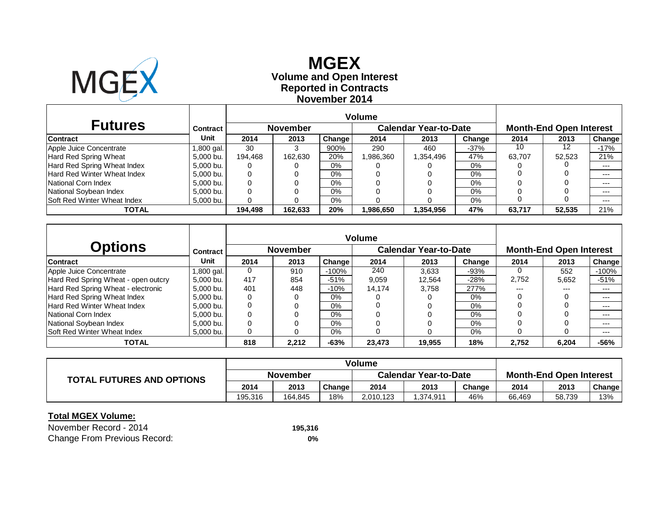

## **Reported in Contracts Volume and Open Interest MGEXNovember 2014**

|                                    |            |         |                 | <b>Volume</b> |           |                              |        |                                |        |        |  |
|------------------------------------|------------|---------|-----------------|---------------|-----------|------------------------------|--------|--------------------------------|--------|--------|--|
| <b>Futures</b>                     | Contract   |         | <b>November</b> |               |           | <b>Calendar Year-to-Date</b> |        | <b>Month-End Open Interest</b> |        |        |  |
| <b>Contract</b>                    | Unit       | 2014    | 2013            | Change        | 2014      | 2013                         | Change | 2014                           | 2013   | Change |  |
| Apple Juice Concentrate            | 1,800 gal. | 30      |                 | 900%          | 290       | 460                          | $-37%$ | 10                             | 12     | $-17%$ |  |
| Hard Red Spring Wheat              | 5,000 bu.  | 194,468 | 162,630         | 20%           | 1,986,360 | 1,354,496                    | 47%    | 63,707                         | 52.523 | 21%    |  |
| Hard Red Spring Wheat Index        | 5,000 bu.  | 0       |                 | $0\%$         |           |                              | 0%     |                                |        | $---$  |  |
| Hard Red Winter Wheat Index        | 5,000 bu.  | 0       |                 | $0\%$         |           |                              | 0%     |                                |        | $---$  |  |
| National Corn Index                | 5,000 bu.  |         |                 | $0\%$         |           |                              | $0\%$  |                                |        | $---$  |  |
| National Soybean Index             | 5,000 bu.  |         |                 | $0\%$         |           |                              | $0\%$  |                                |        | $---$  |  |
| <b>Soft Red Winter Wheat Index</b> | 5,000 bu.  |         |                 | $0\%$         |           |                              | $0\%$  |                                |        | $---$  |  |
| TOTAL                              |            | 194.498 | 162.633         | 20%           | 1,986,650 | 1,354,956                    | 47%    | 63.717                         | 52.535 | 21%    |  |

|                                     |                 | <b>Volume</b> |                 |               |        |                              |        |       |                                |         |
|-------------------------------------|-----------------|---------------|-----------------|---------------|--------|------------------------------|--------|-------|--------------------------------|---------|
| <b>Options</b>                      | <b>Contract</b> |               | <b>November</b> |               |        | <b>Calendar Year-to-Date</b> |        |       | <b>Month-End Open Interest</b> |         |
| <b>Contract</b>                     | Unit            | 2014          | 2013            | <b>Change</b> | 2014   | 2013                         | Change | 2014  | 2013                           | Change  |
| Apple Juice Concentrate             | .800 gal.       | $\Omega$      | 910             | $-100%$       | 240    | 3.633                        | $-93%$ |       | 552                            | $-100%$ |
| Hard Red Spring Wheat - open outcry | 5,000 bu.       | 417           | 854             | $-51%$        | 9,059  | 12.564                       | $-28%$ | 2,752 | 5,652                          | $-51%$  |
| Hard Red Spring Wheat - electronic  | 5.000 bu.       | 401           | 448             | $-10%$        | 14.174 | 3.758                        | 277%   | $---$ | ---                            | ---     |
| Hard Red Spring Wheat Index         | 5.000 bu.       | 0             | 0               | 0%            |        |                              | 0%     |       |                                | ---     |
| Hard Red Winter Wheat Index         | 5.000 bu.       | 0             |                 | $0\%$         |        |                              | $0\%$  |       |                                | ---     |
| National Corn Index                 | 5.000 bu.       | 0             |                 | $0\%$         |        |                              | 0%     |       |                                | ---     |
| National Soybean Index              | 5.000 bu.       | 0             |                 | $0\%$         |        |                              | 0%     |       |                                | $---$   |
| <b>Soft Red Winter Wheat Index</b>  | 5,000 bu.       | 0             | 0               | $0\%$         |        |                              | 0%     |       |                                | $---$   |
| TOTAL                               |                 | 818           | 2,212           | $-63%$        | 23,473 | 19.955                       | 18%    | 2,752 | 6,204                          | $-56%$  |

|                                  |          |         |        | <b>Volume</b> |                              |                                |        |        |        |
|----------------------------------|----------|---------|--------|---------------|------------------------------|--------------------------------|--------|--------|--------|
| <b>TOTAL FUTURES AND OPTIONS</b> | November |         |        |               | <b>Calendar Year-to-Date</b> | <b>Month-End Open Interest</b> |        |        |        |
|                                  | 2014     | 2013    | Change | 2014          | 2013                         | Change                         | 2014   | 2013   | Change |
|                                  | 195.316  | 164.845 | 18%    | 2,010,123     | 1,374,911                    | 46%                            | 66,469 | 58,739 | 13%    |

#### **Total MGEX Volume:**

November Record - 2014Change From Previous Record: **0%**